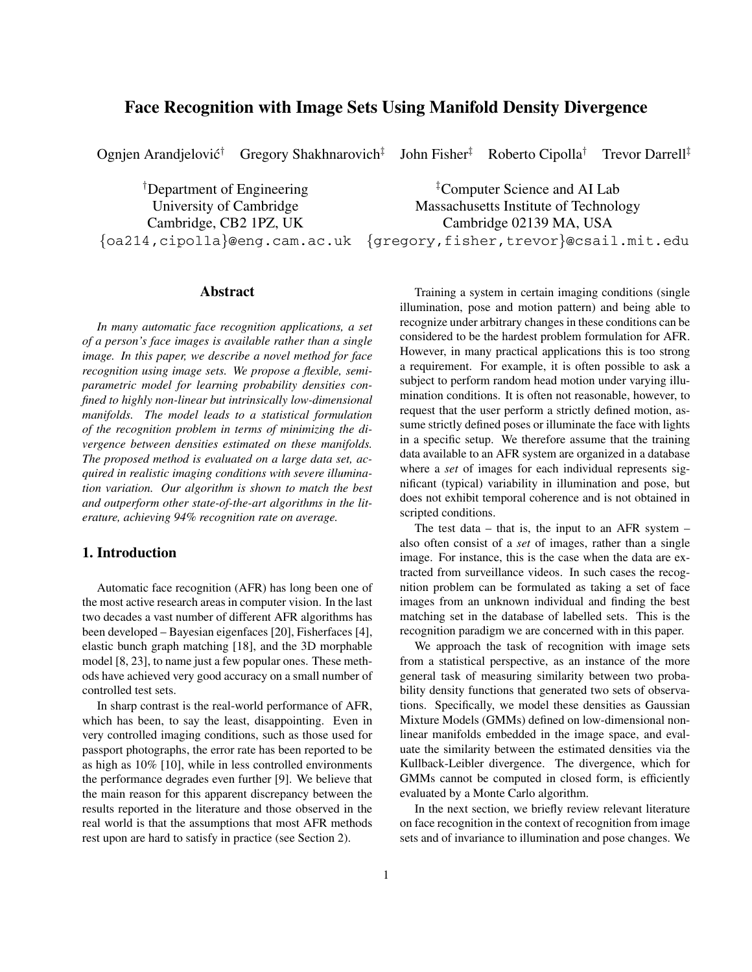# **Face Recognition with Image Sets Using Manifold Density Divergence**

Ognjen Arandjelovic´† Gregory Shakhnarovich‡ John Fisher‡ Roberto Cipolla† Trevor Darrell‡

<sup>†</sup>Department of Engineering <sup>‡</sup>

## **Abstract**

*In many automatic face recognition applications, a set of a person's face images is available rather than a single image. In this paper, we describe a novel method for face recognition using image sets. We propose a flexible, semiparametric model for learning probability densities confined to highly non-linear but intrinsically low-dimensional manifolds. The model leads to a statistical formulation of the recognition problem in terms of minimizing the divergence between densities estimated on these manifolds. The proposed method is evaluated on a large data set, acquired in realistic imaging conditions with severe illumination variation. Our algorithm is shown to match the best and outperform other state-of-the-art algorithms in the literature, achieving 94% recognition rate on average.*

## **1. Introduction**

Automatic face recognition (AFR) has long been one of the most active research areas in computer vision. In the last two decades a vast number of different AFR algorithms has been developed – Bayesian eigenfaces [20], Fisherfaces [4], elastic bunch graph matching [18], and the 3D morphable model [8, 23], to name just a few popular ones. These methods have achieved very good accuracy on a small number of controlled test sets.

In sharp contrast is the real-world performance of AFR, which has been, to say the least, disappointing. Even in very controlled imaging conditions, such as those used for passport photographs, the error rate has been reported to be as high as 10% [10], while in less controlled environments the performance degrades even further [9]. We believe that the main reason for this apparent discrepancy between the results reported in the literature and those observed in the real world is that the assumptions that most AFR methods rest upon are hard to satisfy in practice (see Section 2).

<sup>‡</sup>Computer Science and AI Lab University of Cambridge Massachusetts Institute of Technology Cambridge, CB2 1PZ, UK Cambridge 02139 MA, USA {oa214,cipolla}@eng.cam.ac.uk {gregory,fisher,trevor}@csail.mit.edu

> Training a system in certain imaging conditions (single illumination, pose and motion pattern) and being able to recognize under arbitrary changes in these conditions can be considered to be the hardest problem formulation for AFR. However, in many practical applications this is too strong a requirement. For example, it is often possible to ask a subject to perform random head motion under varying illumination conditions. It is often not reasonable, however, to request that the user perform a strictly defined motion, assume strictly defined poses or illuminate the face with lights in a specific setup. We therefore assume that the training data available to an AFR system are organized in a database where a *set* of images for each individual represents significant (typical) variability in illumination and pose, but does not exhibit temporal coherence and is not obtained in scripted conditions.

> The test data – that is, the input to an AFR system – also often consist of a *set* of images, rather than a single image. For instance, this is the case when the data are extracted from surveillance videos. In such cases the recognition problem can be formulated as taking a set of face images from an unknown individual and finding the best matching set in the database of labelled sets. This is the recognition paradigm we are concerned with in this paper.

> We approach the task of recognition with image sets from a statistical perspective, as an instance of the more general task of measuring similarity between two probability density functions that generated two sets of observations. Specifically, we model these densities as Gaussian Mixture Models (GMMs) defined on low-dimensional nonlinear manifolds embedded in the image space, and evaluate the similarity between the estimated densities via the Kullback-Leibler divergence. The divergence, which for GMMs cannot be computed in closed form, is efficiently evaluated by a Monte Carlo algorithm.

> In the next section, we briefly review relevant literature on face recognition in the context of recognition from image sets and of invariance to illumination and pose changes. We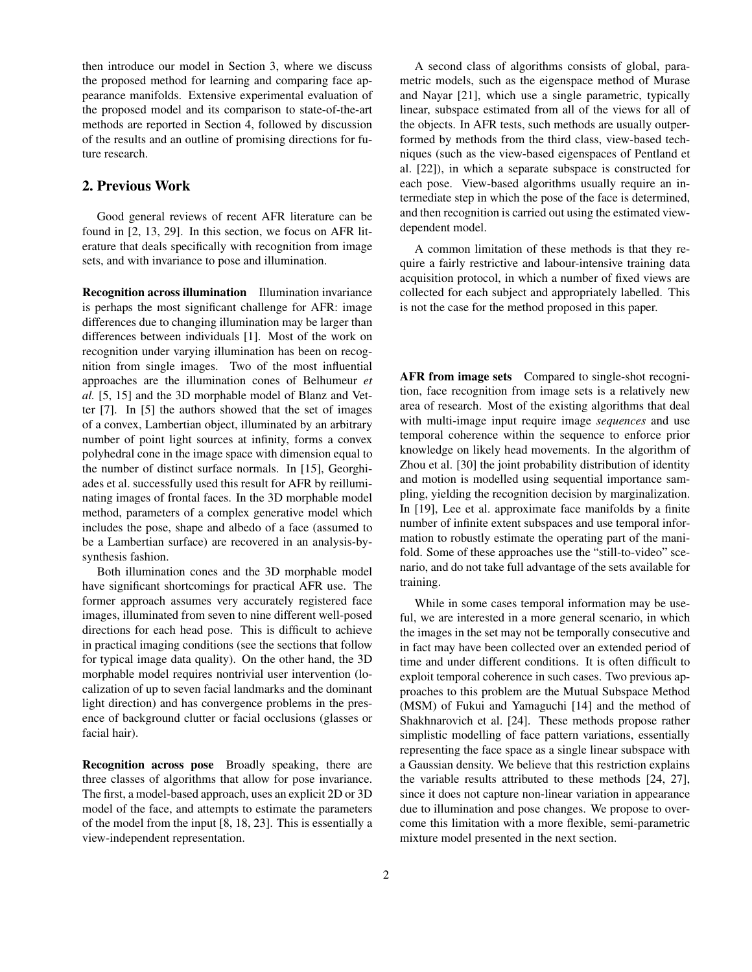then introduce our model in Section 3, where we discuss the proposed method for learning and comparing face appearance manifolds. Extensive experimental evaluation of the proposed model and its comparison to state-of-the-art methods are reported in Section 4, followed by discussion of the results and an outline of promising directions for future research.

## **2. Previous Work**

Good general reviews of recent AFR literature can be found in [2, 13, 29]. In this section, we focus on AFR literature that deals specifically with recognition from image sets, and with invariance to pose and illumination.

**Recognition across illumination** Illumination invariance is perhaps the most significant challenge for AFR: image differences due to changing illumination may be larger than differences between individuals [1]. Most of the work on recognition under varying illumination has been on recognition from single images. Two of the most influential approaches are the illumination cones of Belhumeur *et al.* [5, 15] and the 3D morphable model of Blanz and Vetter [7]. In [5] the authors showed that the set of images of a convex, Lambertian object, illuminated by an arbitrary number of point light sources at infinity, forms a convex polyhedral cone in the image space with dimension equal to the number of distinct surface normals. In [15], Georghiades et al. successfully used this result for AFR by reilluminating images of frontal faces. In the 3D morphable model method, parameters of a complex generative model which includes the pose, shape and albedo of a face (assumed to be a Lambertian surface) are recovered in an analysis-bysynthesis fashion.

Both illumination cones and the 3D morphable model have significant shortcomings for practical AFR use. The former approach assumes very accurately registered face images, illuminated from seven to nine different well-posed directions for each head pose. This is difficult to achieve in practical imaging conditions (see the sections that follow for typical image data quality). On the other hand, the 3D morphable model requires nontrivial user intervention (localization of up to seven facial landmarks and the dominant light direction) and has convergence problems in the presence of background clutter or facial occlusions (glasses or facial hair).

**Recognition across pose** Broadly speaking, there are three classes of algorithms that allow for pose invariance. The first, a model-based approach, uses an explicit 2D or 3D model of the face, and attempts to estimate the parameters of the model from the input [8, 18, 23]. This is essentially a view-independent representation.

A second class of algorithms consists of global, parametric models, such as the eigenspace method of Murase and Nayar [21], which use a single parametric, typically linear, subspace estimated from all of the views for all of the objects. In AFR tests, such methods are usually outperformed by methods from the third class, view-based techniques (such as the view-based eigenspaces of Pentland et al. [22]), in which a separate subspace is constructed for each pose. View-based algorithms usually require an intermediate step in which the pose of the face is determined, and then recognition is carried out using the estimated viewdependent model.

A common limitation of these methods is that they require a fairly restrictive and labour-intensive training data acquisition protocol, in which a number of fixed views are collected for each subject and appropriately labelled. This is not the case for the method proposed in this paper.

**AFR from image sets** Compared to single-shot recognition, face recognition from image sets is a relatively new area of research. Most of the existing algorithms that deal with multi-image input require image *sequences* and use temporal coherence within the sequence to enforce prior knowledge on likely head movements. In the algorithm of Zhou et al. [30] the joint probability distribution of identity and motion is modelled using sequential importance sampling, yielding the recognition decision by marginalization. In [19], Lee et al. approximate face manifolds by a finite number of infinite extent subspaces and use temporal information to robustly estimate the operating part of the manifold. Some of these approaches use the "still-to-video" scenario, and do not take full advantage of the sets available for training.

While in some cases temporal information may be useful, we are interested in a more general scenario, in which the images in the set may not be temporally consecutive and in fact may have been collected over an extended period of time and under different conditions. It is often difficult to exploit temporal coherence in such cases. Two previous approaches to this problem are the Mutual Subspace Method (MSM) of Fukui and Yamaguchi [14] and the method of Shakhnarovich et al. [24]. These methods propose rather simplistic modelling of face pattern variations, essentially representing the face space as a single linear subspace with a Gaussian density. We believe that this restriction explains the variable results attributed to these methods [24, 27], since it does not capture non-linear variation in appearance due to illumination and pose changes. We propose to overcome this limitation with a more flexible, semi-parametric mixture model presented in the next section.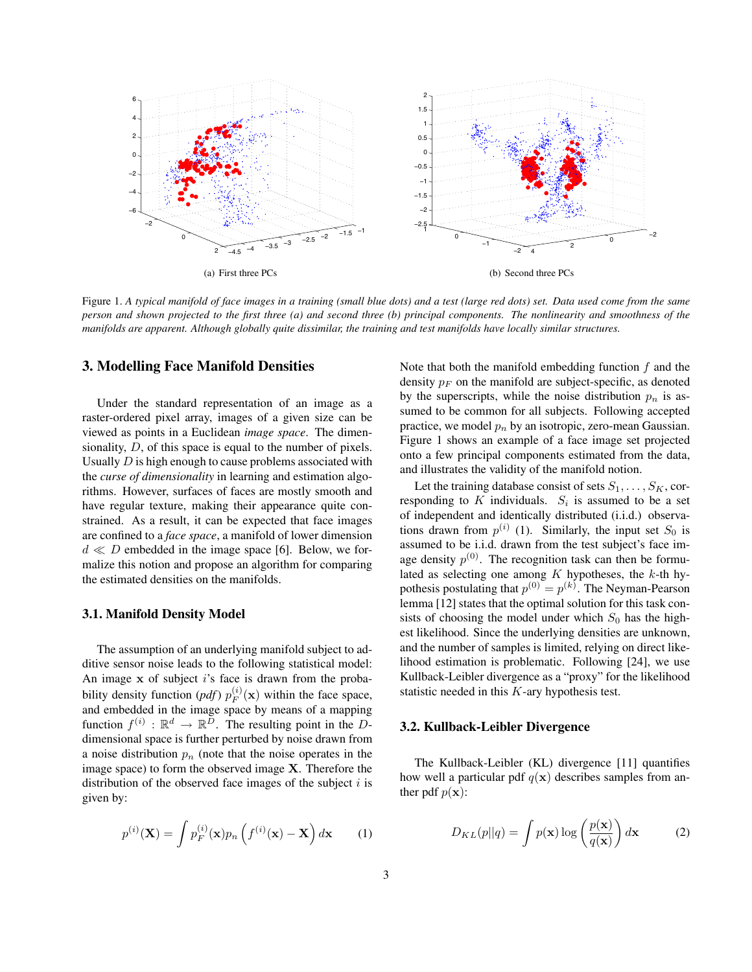

Figure 1. *A typical manifold of face images in a training (small blue dots) and a test (large red dots) set. Data used come from the same person and shown projected to the first three (a) and second three (b) principal components. The nonlinearity and smoothness of the manifolds are apparent. Although globally quite dissimilar, the training and test manifolds have locally similar structures.*

### **3. Modelling Face Manifold Densities**

Under the standard representation of an image as a raster-ordered pixel array, images of a given size can be viewed as points in a Euclidean *image space*. The dimensionality,  $D$ , of this space is equal to the number of pixels. Usually  $D$  is high enough to cause problems associated with the *curse of dimensionality* in learning and estimation algorithms. However, surfaces of faces are mostly smooth and have regular texture, making their appearance quite constrained. As a result, it can be expected that face images are confined to a *face space*, a manifold of lower dimension  $d \ll D$  embedded in the image space [6]. Below, we formalize this notion and propose an algorithm for comparing the estimated densities on the manifolds.

#### **3.1. Manifold Density Model**

The assumption of an underlying manifold subject to additive sensor noise leads to the following statistical model: An image **x** of subject i's face is drawn from the probability density function  $(pdf) p_F^{(i)}(\mathbf{x})$  within the face space, and embedded in the image space by means of a mapping function  $f^{(i)} : \mathbb{R}^d \to \mathbb{R}^D$ . The resulting point in the Ddimensional space is further perturbed by noise drawn from a noise distribution  $p_n$  (note that the noise operates in the image space) to form the observed image **X**. Therefore the distribution of the observed face images of the subject  $i$  is given by:

$$
p^{(i)}(\mathbf{X}) = \int p_F^{(i)}(\mathbf{x}) p_n \left( f^{(i)}(\mathbf{x}) - \mathbf{X} \right) d\mathbf{x}
$$
 (1)

Note that both the manifold embedding function  $f$  and the density  $p_F$  on the manifold are subject-specific, as denoted by the superscripts, while the noise distribution  $p_n$  is assumed to be common for all subjects. Following accepted practice, we model  $p_n$  by an isotropic, zero-mean Gaussian. Figure 1 shows an example of a face image set projected onto a few principal components estimated from the data, and illustrates the validity of the manifold notion.

Let the training database consist of sets  $S_1, \ldots, S_K$ , corresponding to K individuals.  $S_i$  is assumed to be a set of independent and identically distributed (i.i.d.) observations drawn from  $p^{(i)}$  (1). Similarly, the input set  $S_0$  is assumed to be i.i.d. drawn from the test subject's face image density  $p^{(0)}$ . The recognition task can then be formulated as selecting one among  $K$  hypotheses, the  $k$ -th hypothesis postulating that  $p^{(0)} = p^{(k)}$ . The Neyman-Pearson<br>lemma [12] states that the optimal solution for this task conlemma [12] states that the optimal solution for this task consists of choosing the model under which  $S_0$  has the highest likelihood. Since the underlying densities are unknown, and the number of samples is limited, relying on direct likelihood estimation is problematic. Following [24], we use Kullback-Leibler divergence as a "proxy" for the likelihood statistic needed in this  $K$ -ary hypothesis test.

#### **3.2. Kullback-Leibler Divergence**

The Kullback-Leibler (KL) divergence [11] quantifies how well a particular pdf  $q(x)$  describes samples from anther pdf  $p(\mathbf{x})$ :

$$
D_{KL}(p||q) = \int p(\mathbf{x}) \log \left(\frac{p(\mathbf{x})}{q(\mathbf{x})}\right) d\mathbf{x}
$$
 (2)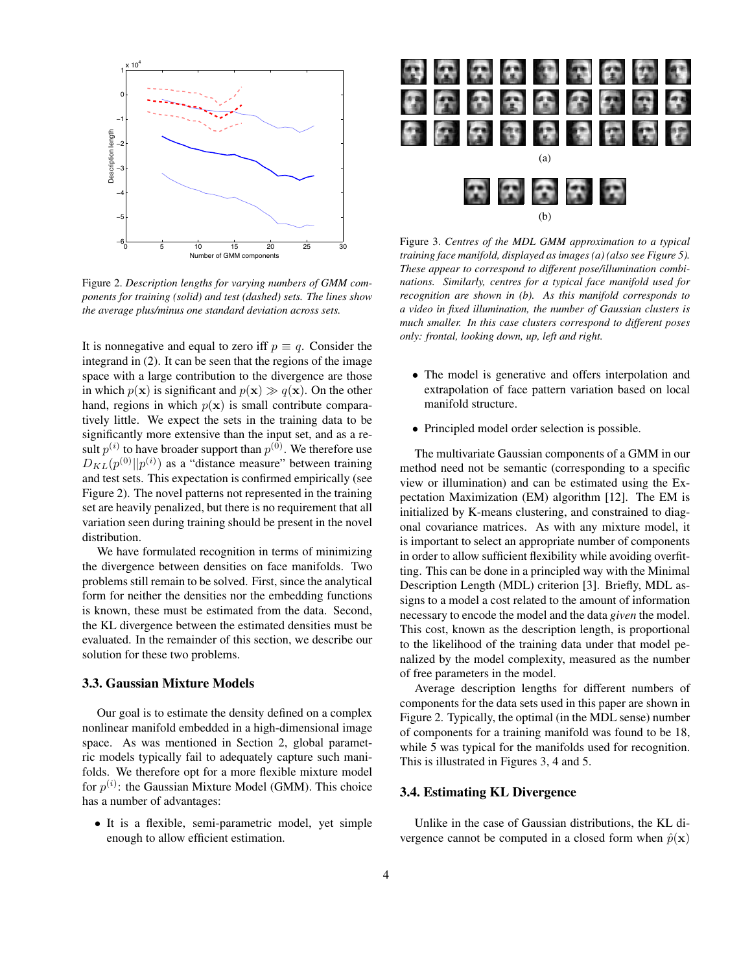

Figure 2. *Description lengths for varying numbers of GMM components for training (solid) and test (dashed) sets. The lines show the average plus/minus one standard deviation across sets.*

It is nonnegative and equal to zero iff  $p \equiv q$ . Consider the integrand in (2). It can be seen that the regions of the image space with a large contribution to the divergence are those in which  $p(x)$  is significant and  $p(x) \gg q(x)$ . On the other hand, regions in which  $p(x)$  is small contribute comparatively little. We expect the sets in the training data to be significantly more extensive than the input set, and as a result  $p^{(i)}$  to have broader support than  $p^{(0)}$ . We therefore use  $D_{KL}(p^{(0)}||p^{(i)})$  as a "distance measure" between training<br>and test sets. This expectation is confirmed empirically (see and test sets. This expectation is confirmed empirically (see Figure 2). The novel patterns not represented in the training set are heavily penalized, but there is no requirement that all variation seen during training should be present in the novel distribution.

We have formulated recognition in terms of minimizing the divergence between densities on face manifolds. Two problems still remain to be solved. First, since the analytical form for neither the densities nor the embedding functions is known, these must be estimated from the data. Second, the KL divergence between the estimated densities must be evaluated. In the remainder of this section, we describe our solution for these two problems.

### **3.3. Gaussian Mixture Models**

Our goal is to estimate the density defined on a complex nonlinear manifold embedded in a high-dimensional image space. As was mentioned in Section 2, global parametric models typically fail to adequately capture such manifolds. We therefore opt for a more flexible mixture model for  $p^{(i)}$ : the Gaussian Mixture Model (GMM). This choice has a number of advantages:

• It is a flexible, semi-parametric model, yet simple enough to allow efficient estimation.



Figure 3. *Centres of the MDL GMM approximation to a typical training face manifold, displayed as images (a) (also see Figure 5). These appear to correspond to different pose/illumination combinations. Similarly, centres for a typical face manifold used for recognition are shown in (b). As this manifold corresponds to a video in fixed illumination, the number of Gaussian clusters is much smaller. In this case clusters correspond to different poses only: frontal, looking down, up, left and right.*

- The model is generative and offers interpolation and extrapolation of face pattern variation based on local manifold structure.
- Principled model order selection is possible.

The multivariate Gaussian components of a GMM in our method need not be semantic (corresponding to a specific view or illumination) and can be estimated using the Expectation Maximization (EM) algorithm [12]. The EM is initialized by K-means clustering, and constrained to diagonal covariance matrices. As with any mixture model, it is important to select an appropriate number of components in order to allow sufficient flexibility while avoiding overfitting. This can be done in a principled way with the Minimal Description Length (MDL) criterion [3]. Briefly, MDL assigns to a model a cost related to the amount of information necessary to encode the model and the data *given* the model. This cost, known as the description length, is proportional to the likelihood of the training data under that model penalized by the model complexity, measured as the number of free parameters in the model.

Average description lengths for different numbers of components for the data sets used in this paper are shown in Figure 2. Typically, the optimal (in the MDL sense) number of components for a training manifold was found to be 18, while 5 was typical for the manifolds used for recognition. This is illustrated in Figures 3, 4 and 5.

## **3.4. Estimating KL Divergence**

Unlike in the case of Gaussian distributions, the KL divergence cannot be computed in a closed form when  $\hat{p}(\mathbf{x})$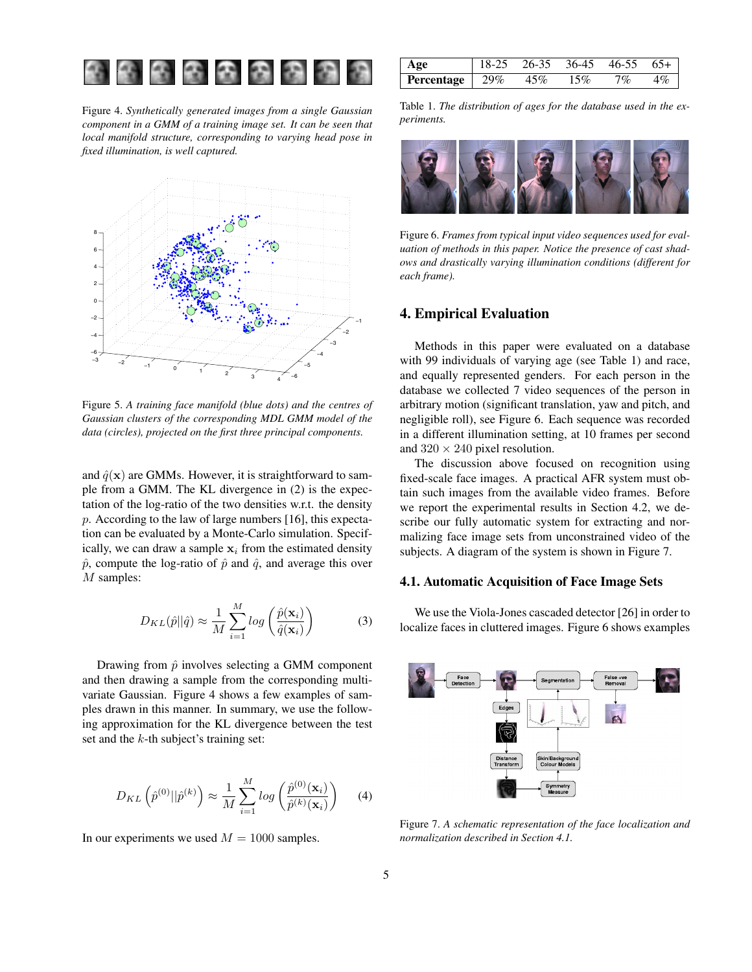

Figure 4. *Synthetically generated images from a single Gaussian component in a GMM of a training image set. It can be seen that local manifold structure, corresponding to varying head pose in fixed illumination, is well captured.*



Figure 5. *A training face manifold (blue dots) and the centres of Gaussian clusters of the corresponding MDL GMM model of the data (circles), projected on the first three principal components.*

and  $\hat{q}(\mathbf{x})$  are GMMs. However, it is straightforward to sample from a GMM. The KL divergence in (2) is the expectation of the log-ratio of the two densities w.r.t. the density p. According to the law of large numbers [16], this expectation can be evaluated by a Monte-Carlo simulation. Specifically, we can draw a sample  $x_i$  from the estimated density  $\hat{p}$ , compute the log-ratio of  $\hat{p}$  and  $\hat{q}$ , and average this over M samples:

$$
D_{KL}(\hat{p}||\hat{q}) \approx \frac{1}{M} \sum_{i=1}^{M} log\left(\frac{\hat{p}(\mathbf{x}_i)}{\hat{q}(\mathbf{x}_i)}\right)
$$
(3)

Drawing from  $\hat{p}$  involves selecting a GMM component and then drawing a sample from the corresponding multivariate Gaussian. Figure 4 shows a few examples of samples drawn in this manner. In summary, we use the following approximation for the KL divergence between the test set and the  $k$ -th subject's training set:

$$
D_{KL}\left(\hat{p}^{(0)}||\hat{p}^{(k)}\right) \approx \frac{1}{M} \sum_{i=1}^{M} \log\left(\frac{\hat{p}^{(0)}(\mathbf{x}_i)}{\hat{p}^{(k)}(\mathbf{x}_i)}\right) \tag{4}
$$

In our experiments we used  $M = 1000$  samples.

| Age                             | $18-25$ $26-35$ $36-45$ $46-55$ $65+$ |        |       |       |
|---------------------------------|---------------------------------------|--------|-------|-------|
| <b>Percentage</b>   $29\%$ 45\% |                                       | $15\%$ | $7\%$ | $4\%$ |

Table 1. *The distribution of ages for the database used in the experiments.*



Figure 6. *Frames from typical input video sequences used for evaluation of methods in this paper. Notice the presence of cast shadows and drastically varying illumination conditions (different for each frame).*

## **4. Empirical Evaluation**

Methods in this paper were evaluated on a database with 99 individuals of varying age (see Table 1) and race, and equally represented genders. For each person in the database we collected 7 video sequences of the person in arbitrary motion (significant translation, yaw and pitch, and negligible roll), see Figure 6. Each sequence was recorded in a different illumination setting, at 10 frames per second and  $320 \times 240$  pixel resolution.

The discussion above focused on recognition using fixed-scale face images. A practical AFR system must obtain such images from the available video frames. Before we report the experimental results in Section 4.2, we describe our fully automatic system for extracting and normalizing face image sets from unconstrained video of the subjects. A diagram of the system is shown in Figure 7.

#### **4.1. Automatic Acquisition of Face Image Sets**

We use the Viola-Jones cascaded detector [26] in order to localize faces in cluttered images. Figure 6 shows examples



Figure 7. *A schematic representation of the face localization and normalization described in Section 4.1.*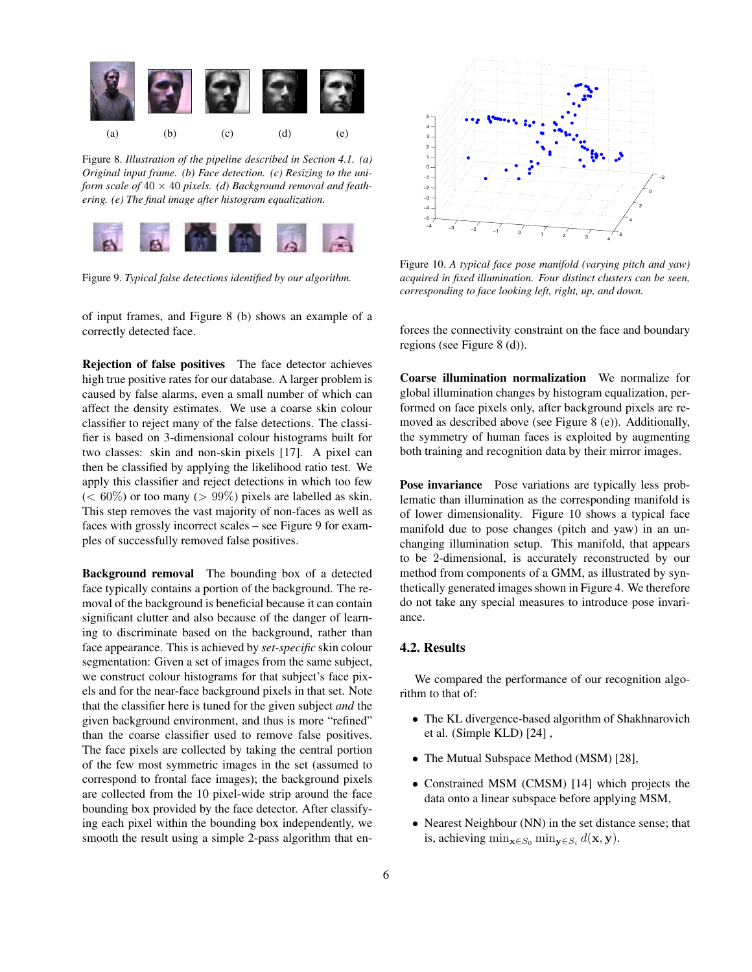

Figure 8. *Illustration of the pipeline described in Section 4.1. (a) Original input frame. (b) Face detection. (c) Resizing to the uniform scale of* 40 × 40 *pixels. (d) Background removal and feathering. (e) The final image after histogram equalization.*



Figure 9. *Typical false detections identified by our algorithm.*

of input frames, and Figure 8 (b) shows an example of a correctly detected face.

**Rejection of false positives** The face detector achieves high true positive rates for our database. A larger problem is caused by false alarms, even a small number of which can affect the density estimates. We use a coarse skin colour classifier to reject many of the false detections. The classifier is based on 3-dimensional colour histograms built for two classes: skin and non-skin pixels [17]. A pixel can then be classified by applying the likelihood ratio test. We apply this classifier and reject detections in which too few  $(< 60\%)$  or too many  $(> 99\%)$  pixels are labelled as skin. This step removes the vast majority of non-faces as well as faces with grossly incorrect scales – see Figure 9 for examples of successfully removed false positives.

**Background removal** The bounding box of a detected face typically contains a portion of the background. The removal of the background is beneficial because it can contain significant clutter and also because of the danger of learning to discriminate based on the background, rather than face appearance. This is achieved by *set-specific* skin colour segmentation: Given a set of images from the same subject, we construct colour histograms for that subject's face pixels and for the near-face background pixels in that set. Note that the classifier here is tuned for the given subject *and* the given background environment, and thus is more "refined" than the coarse classifier used to remove false positives. The face pixels are collected by taking the central portion of the few most symmetric images in the set (assumed to correspond to frontal face images); the background pixels are collected from the 10 pixel-wide strip around the face bounding box provided by the face detector. After classifying each pixel within the bounding box independently, we smooth the result using a simple 2-pass algorithm that en-



Figure 10. *A typical face pose manifold (varying pitch and yaw) acquired in fixed illumination. Four distinct clusters can be seen, corresponding to face looking left, right, up, and down.*

forces the connectivity constraint on the face and boundary regions (see Figure 8 (d)).

**Coarse illumination normalization** We normalize for global illumination changes by histogram equalization, performed on face pixels only, after background pixels are removed as described above (see Figure 8 (e)). Additionally, the symmetry of human faces is exploited by augmenting both training and recognition data by their mirror images.

**Pose invariance** Pose variations are typically less problematic than illumination as the corresponding manifold is of lower dimensionality. Figure 10 shows a typical face manifold due to pose changes (pitch and yaw) in an unchanging illumination setup. This manifold, that appears to be 2-dimensional, is accurately reconstructed by our method from components of a GMM, as illustrated by synthetically generated images shown in Figure 4. We therefore do not take any special measures to introduce pose invariance.

## **4.2. Results**

We compared the performance of our recognition algorithm to that of:

- The KL divergence-based algorithm of Shakhnarovich et al. (Simple KLD) [24] ,
- The Mutual Subspace Method (MSM) [28],
- Constrained MSM (CMSM) [14] which projects the data onto a linear subspace before applying MSM,
- Nearest Neighbour (NN) in the set distance sense; that is, achieving  $\min_{\mathbf{x} \in S_0} \min_{\mathbf{v} \in S_i} d(\mathbf{x}, \mathbf{y}).$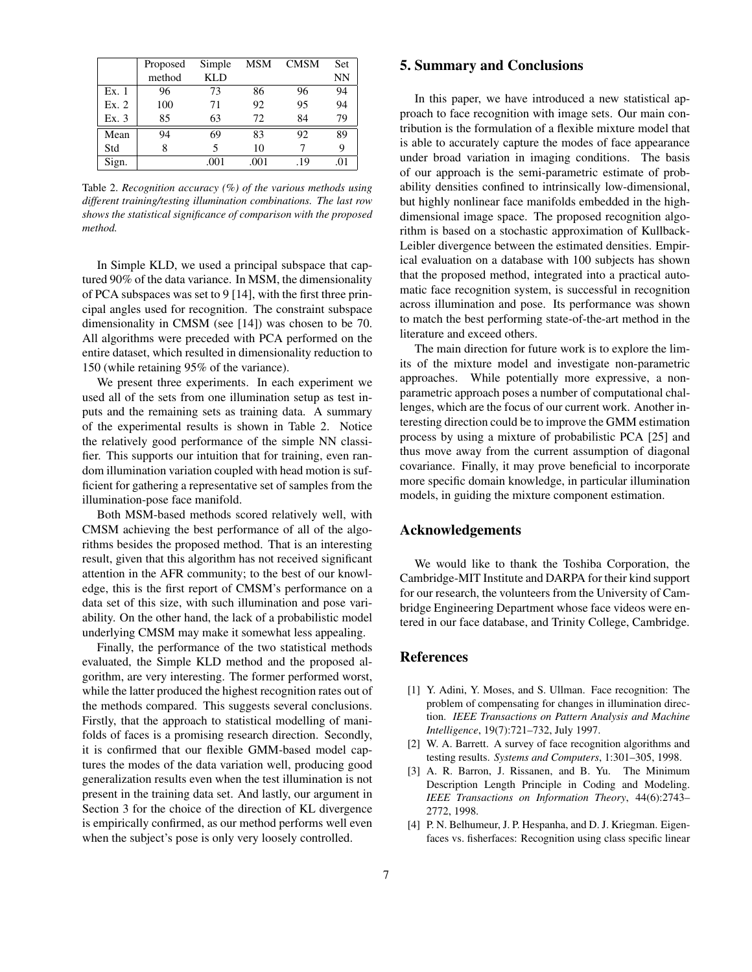|       | Proposed | Simple     | MSM  | <b>CMSM</b> | Set. |
|-------|----------|------------|------|-------------|------|
|       | method   | <b>KLD</b> |      |             | NN   |
| Ex.1  | 96       | 73         | 86   | 96          | 94   |
| Ex. 2 | 100      | 71         | 92   | 95          | 94   |
| Ex. 3 | 85       | 63         | 72   | 84          | 79   |
| Mean  | 94       | 69         | 83   | 92          | 89   |
| Std   | 8        | 5          | 10   |             | 9    |
| Sign. |          | .001       | .001 | .19         | .01  |

Table 2. *Recognition accuracy (%) of the various methods using different training/testing illumination combinations. The last row shows the statistical significance of comparison with the proposed method.*

In Simple KLD, we used a principal subspace that captured 90% of the data variance. In MSM, the dimensionality of PCA subspaces was set to 9 [14], with the first three principal angles used for recognition. The constraint subspace dimensionality in CMSM (see [14]) was chosen to be 70. All algorithms were preceded with PCA performed on the entire dataset, which resulted in dimensionality reduction to 150 (while retaining 95% of the variance).

We present three experiments. In each experiment we used all of the sets from one illumination setup as test inputs and the remaining sets as training data. A summary of the experimental results is shown in Table 2. Notice the relatively good performance of the simple NN classifier. This supports our intuition that for training, even random illumination variation coupled with head motion is sufficient for gathering a representative set of samples from the illumination-pose face manifold.

Both MSM-based methods scored relatively well, with CMSM achieving the best performance of all of the algorithms besides the proposed method. That is an interesting result, given that this algorithm has not received significant attention in the AFR community; to the best of our knowledge, this is the first report of CMSM's performance on a data set of this size, with such illumination and pose variability. On the other hand, the lack of a probabilistic model underlying CMSM may make it somewhat less appealing.

Finally, the performance of the two statistical methods evaluated, the Simple KLD method and the proposed algorithm, are very interesting. The former performed worst, while the latter produced the highest recognition rates out of the methods compared. This suggests several conclusions. Firstly, that the approach to statistical modelling of manifolds of faces is a promising research direction. Secondly, it is confirmed that our flexible GMM-based model captures the modes of the data variation well, producing good generalization results even when the test illumination is not present in the training data set. And lastly, our argument in Section 3 for the choice of the direction of KL divergence is empirically confirmed, as our method performs well even when the subject's pose is only very loosely controlled.

## **5. Summary and Conclusions**

In this paper, we have introduced a new statistical approach to face recognition with image sets. Our main contribution is the formulation of a flexible mixture model that is able to accurately capture the modes of face appearance under broad variation in imaging conditions. The basis of our approach is the semi-parametric estimate of probability densities confined to intrinsically low-dimensional, but highly nonlinear face manifolds embedded in the highdimensional image space. The proposed recognition algorithm is based on a stochastic approximation of Kullback-Leibler divergence between the estimated densities. Empirical evaluation on a database with 100 subjects has shown that the proposed method, integrated into a practical automatic face recognition system, is successful in recognition across illumination and pose. Its performance was shown to match the best performing state-of-the-art method in the literature and exceed others.

The main direction for future work is to explore the limits of the mixture model and investigate non-parametric approaches. While potentially more expressive, a nonparametric approach poses a number of computational challenges, which are the focus of our current work. Another interesting direction could be to improve the GMM estimation process by using a mixture of probabilistic PCA [25] and thus move away from the current assumption of diagonal covariance. Finally, it may prove beneficial to incorporate more specific domain knowledge, in particular illumination models, in guiding the mixture component estimation.

## **Acknowledgements**

We would like to thank the Toshiba Corporation, the Cambridge-MIT Institute and DARPA for their kind support for our research, the volunteers from the University of Cambridge Engineering Department whose face videos were entered in our face database, and Trinity College, Cambridge.

## **References**

- [1] Y. Adini, Y. Moses, and S. Ullman. Face recognition: The problem of compensating for changes in illumination direction. *IEEE Transactions on Pattern Analysis and Machine Intelligence*, 19(7):721–732, July 1997.
- [2] W. A. Barrett. A survey of face recognition algorithms and testing results. *Systems and Computers*, 1:301–305, 1998.
- [3] A. R. Barron, J. Rissanen, and B. Yu. The Minimum Description Length Principle in Coding and Modeling. *IEEE Transactions on Information Theory*, 44(6):2743– 2772, 1998.
- [4] P. N. Belhumeur, J. P. Hespanha, and D. J. Kriegman. Eigenfaces vs. fisherfaces: Recognition using class specific linear